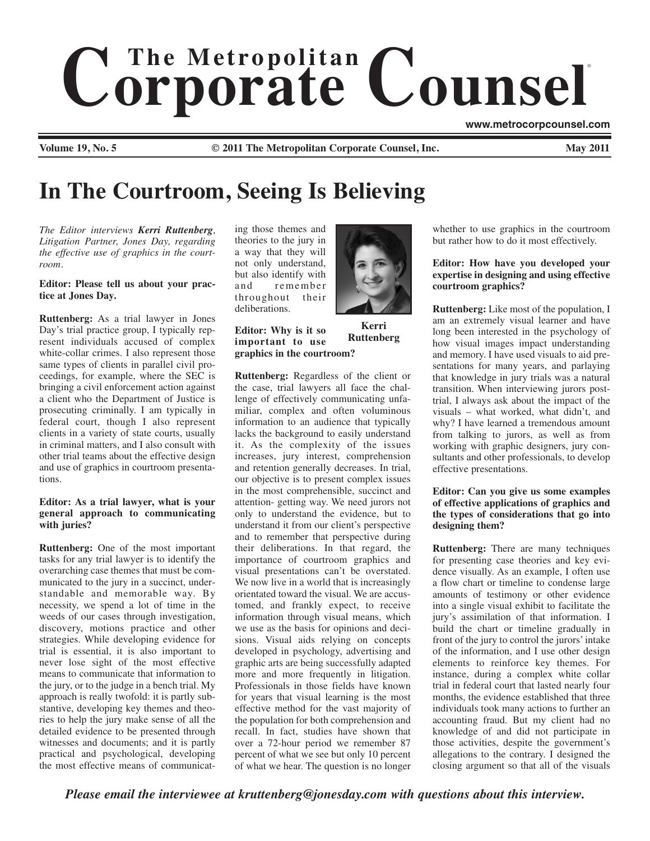# $$ ®

**www.metrocorpcounsel.com**

**Volume 19, No. 5 C** 2011 The Metropolitan Corporate Counsel, Inc.

# **In The Courtroom, Seeing Is Believing**

*The Editor interviews Kerri Ruttenberg, Litigation Partner, Jones Day, regarding the effective use of graphics in the courtroom.*

# **Editor: Please tell us about your practice at Jones Day.**

**Ruttenberg:** As a trial lawyer in Jones Day's trial practice group, I typically represent individuals accused of complex white-collar crimes. I also represent those same types of clients in parallel civil proceedings, for example, where the SEC is bringing a civil enforcement action against a client who the Department of Justice is prosecuting criminally. I am typically in federal court, though I also represent clients in a variety of state courts, usually in criminal matters, and I also consult with other trial teams about the effective design and use of graphics in courtroom presentations.

#### **Editor: As a trial lawyer, what is your general approach to communicating with juries?**

**Ruttenberg:** One of the most important tasks for any trial lawyer is to identify the overarching case themes that must be communicated to the jury in a succinct, understandable and memorable way. By necessity, we spend a lot of time in the weeds of our cases through investigation, discovery, motions practice and other strategies. While developing evidence for trial is essential, it is also important to never lose sight of the most effective means to communicate that information to the jury, or to the judge in a bench trial. My approach is really twofold: it is partly substantive, developing key themes and theories to help the jury make sense of all the detailed evidence to be presented through witnesses and documents; and it is partly practical and psychological, developing the most effective means of communicating those themes and theories to the jury in a way that they will not only understand, but also identify with and remember<br>throughout their throughout deliberations.

**Editor: Why is it so important to use**

**graphics in the courtroom? Kerri Ruttenberg**

**Ruttenberg:** Regardless of the client or the case, trial lawyers all face the challenge of effectively communicating unfamiliar, complex and often voluminous information to an audience that typically lacks the background to easily understand it. As the complexity of the issues increases, jury interest, comprehension and retention generally decreases. In trial, our objective is to present complex issues in the most comprehensible, succinct and attention- getting way. We need jurors not only to understand the evidence, but to understand it from our client's perspective and to remember that perspective during their deliberations. In that regard, the importance of courtroom graphics and visual presentations can't be overstated. We now live in a world that is increasingly orientated toward the visual. We are accustomed, and frankly expect, to receive information through visual means, which we use as the basis for opinions and decisions. Visual aids relying on concepts developed in psychology, advertising and graphic arts are being successfully adapted more and more frequently in litigation. Professionals in those fields have known for years that visual learning is the most effective method for the vast majority of the population for both comprehension and recall. In fact, studies have shown that over a 72-hour period we remember 87 percent of what we see but only 10 percent of what we hear. The question is no longer



whether to use graphics in the courtroom but rather how to do it most effectively.

### **Editor: How have you developed your expertise in designing and using effective courtroom graphics?**

**Ruttenberg:** Like most of the population, I am an extremely visual learner and have long been interested in the psychology of how visual images impact understanding and memory. I have used visuals to aid presentations for many years, and parlaying that knowledge in jury trials was a natural transition. When interviewing jurors posttrial, I always ask about the impact of the visuals – what worked, what didn't, and why? I have learned a tremendous amount from talking to jurors, as well as from working with graphic designers, jury consultants and other professionals, to develop effective presentations.

# **Editor: Can you give us some examples of effective applications of graphics and the types of considerations that go into designing them?**

**Ruttenberg:** There are many techniques for presenting case theories and key evidence visually. As an example, I often use a flow chart or timeline to condense large amounts of testimony or other evidence into a single visual exhibit to facilitate the jury's assimilation of that information. I build the chart or timeline gradually in front of the jury to control the jurors' intake of the information, and I use other design elements to reinforce key themes. For instance, during a complex white collar trial in federal court that lasted nearly four months, the evidence established that three individuals took many actions to further an accounting fraud. But my client had no knowledge of and did not participate in those activities, despite the government's allegations to the contrary. I designed the closing argument so that all of the visuals